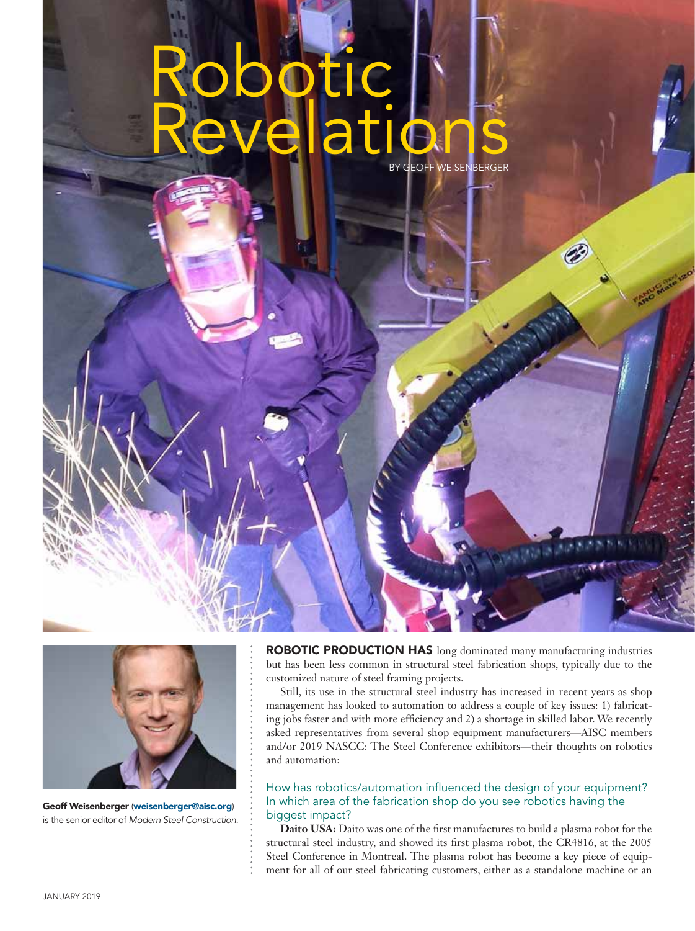# Robotic Revelations BY GEOFF WEISENBERGER



Geoff Weisenberger (weisenberger@aisc.org) is the senior editor of *Modern Steel Construction*.

ROBOTIC PRODUCTION HAS long dominated many manufacturing industries but has been less common in structural steel fabrication shops, typically due to the customized nature of steel framing projects.

Ø

Still, its use in the structural steel industry has increased in recent years as shop management has looked to automation to address a couple of key issues: 1) fabricating jobs faster and with more efficiency and 2) a shortage in skilled labor. We recently asked representatives from several shop equipment manufacturers—AISC members and/or 2019 NASCC: The Steel Conference exhibitors—their thoughts on robotics and automation:

How has robotics/automation influenced the design of your equipment? In which area of the fabrication shop do you see robotics having the biggest impact?

**Daito USA:** Daito was one of the first manufactures to build a plasma robot for the structural steel industry, and showed its first plasma robot, the CR4816, at the 2005 Steel Conference in Montreal. The plasma robot has become a key piece of equipment for all of our steel fabricating customers, either as a standalone machine or an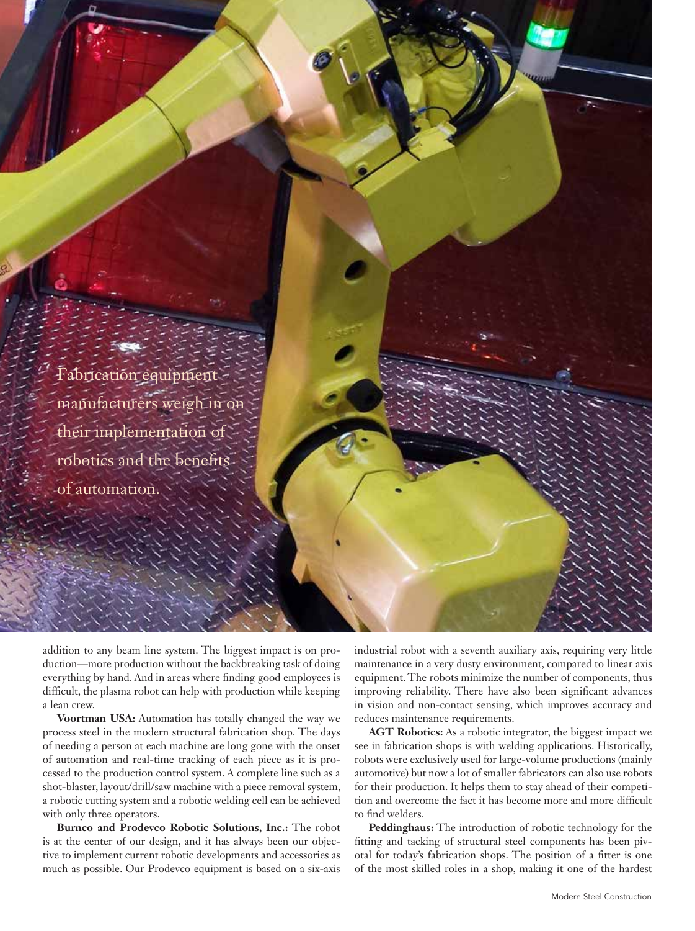

addition to any beam line system. The biggest impact is on production—more production without the backbreaking task of doing everything by hand. And in areas where finding good employees is difficult, the plasma robot can help with production while keeping a lean crew.

**Voortman USA:** Automation has totally changed the way we process steel in the modern structural fabrication shop. The days of needing a person at each machine are long gone with the onset of automation and real-time tracking of each piece as it is processed to the production control system. A complete line such as a shot-blaster, layout/drill/saw machine with a piece removal system, a robotic cutting system and a robotic welding cell can be achieved with only three operators.

**Burnco and Prodevco Robotic Solutions, Inc.:** The robot is at the center of our design, and it has always been our objective to implement current robotic developments and accessories as much as possible. Our Prodevco equipment is based on a six-axis

industrial robot with a seventh auxiliary axis, requiring very little maintenance in a very dusty environment, compared to linear axis equipment. The robots minimize the number of components, thus improving reliability. There have also been significant advances in vision and non-contact sensing, which improves accuracy and reduces maintenance requirements.

**AGT Robotics:** As a robotic integrator, the biggest impact we see in fabrication shops is with welding applications. Historically, robots were exclusively used for large-volume productions (mainly automotive) but now a lot of smaller fabricators can also use robots for their production. It helps them to stay ahead of their competition and overcome the fact it has become more and more difficult to find welders.

**Peddinghaus:** The introduction of robotic technology for the fitting and tacking of structural steel components has been pivotal for today's fabrication shops. The position of a fitter is one of the most skilled roles in a shop, making it one of the hardest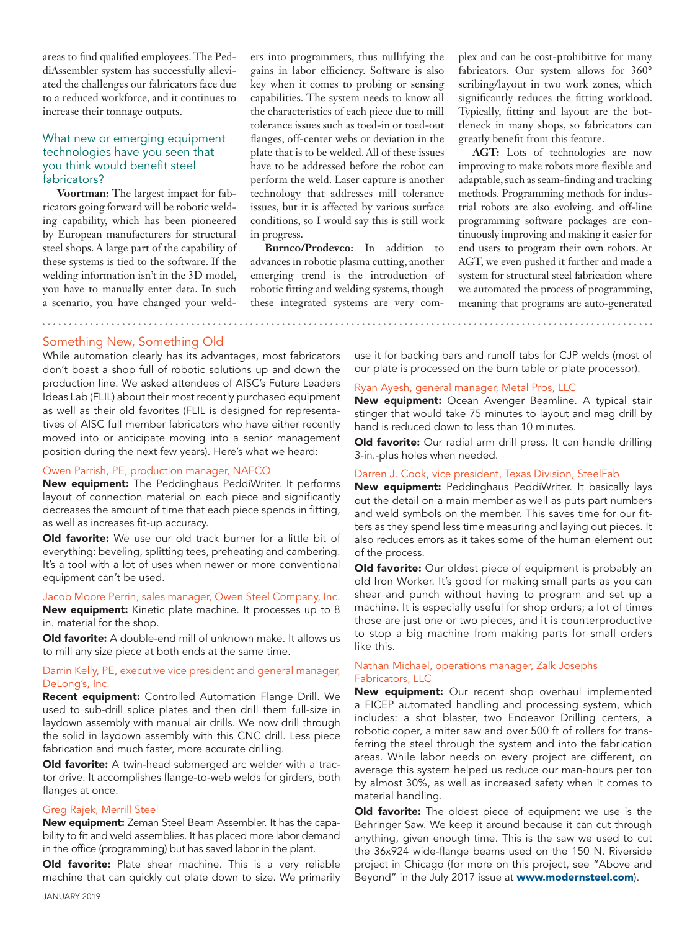areas to find qualified employees. The PeddiAssembler system has successfully alleviated the challenges our fabricators face due to a reduced workforce, and it continues to increase their tonnage outputs.

# What new or emerging equipment technologies have you seen that you think would benefit steel fabricators?

**Voortman:** The largest impact for fabricators going forward will be robotic welding capability, which has been pioneered by European manufacturers for structural steel shops. A large part of the capability of these systems is tied to the software. If the welding information isn't in the 3D model, you have to manually enter data. In such a scenario, you have changed your welders into programmers, thus nullifying the gains in labor efficiency. Software is also key when it comes to probing or sensing capabilities. The system needs to know all the characteristics of each piece due to mill tolerance issues such as toed-in or toed-out flanges, off-center webs or deviation in the plate that is to be welded. All of these issues have to be addressed before the robot can perform the weld. Laser capture is another technology that addresses mill tolerance issues, but it is affected by various surface conditions, so I would say this is still work in progress.

**Burnco/Prodevco:** In addition to advances in robotic plasma cutting, another emerging trend is the introduction of robotic fitting and welding systems, though these integrated systems are very com-

. . . . . . . . . . . . . . . . . . . .

plex and can be cost-prohibitive for many fabricators. Our system allows for 360° scribing/layout in two work zones, which significantly reduces the fitting workload. Typically, fitting and layout are the bottleneck in many shops, so fabricators can greatly benefit from this feature.

**AGT:** Lots of technologies are now improving to make robots more flexible and adaptable, such as seam-finding and tracking methods. Programming methods for industrial robots are also evolving, and off-line programming software packages are continuously improving and making it easier for end users to program their own robots. At AGT, we even pushed it further and made a system for structural steel fabrication where we automated the process of programming, meaning that programs are auto-generated

## Something New, Something Old

While automation clearly has its advantages, most fabricators don't boast a shop full of robotic solutions up and down the production line. We asked attendees of AISC's Future Leaders Ideas Lab (FLIL) about their most recently purchased equipment as well as their old favorites (FLIL is designed for representatives of AISC full member fabricators who have either recently moved into or anticipate moving into a senior management position during the next few years). Here's what we heard:

## Owen Parrish, PE, production manager, NAFCO

New equipment: The Peddinghaus PeddiWriter. It performs layout of connection material on each piece and significantly decreases the amount of time that each piece spends in fitting, as well as increases fit-up accuracy.

Old favorite: We use our old track burner for a little bit of everything: beveling, splitting tees, preheating and cambering. It's a tool with a lot of uses when newer or more conventional equipment can't be used.

### Jacob Moore Perrin, sales manager, Owen Steel Company, Inc.

New equipment: Kinetic plate machine. It processes up to 8 in. material for the shop.

Old favorite: A double-end mill of unknown make. It allows us to mill any size piece at both ends at the same time.

## Darrin Kelly, PE, executive vice president and general manager, DeLong's, Inc.

Recent equipment: Controlled Automation Flange Drill. We used to sub-drill splice plates and then drill them full-size in laydown assembly with manual air drills. We now drill through the solid in laydown assembly with this CNC drill. Less piece fabrication and much faster, more accurate drilling.

Old favorite: A twin-head submerged arc welder with a tractor drive. It accomplishes flange-to-web welds for girders, both flanges at once.

#### Greg Rajek, Merrill Steel

New equipment: Zeman Steel Beam Assembler. It has the capability to fit and weld assemblies. It has placed more labor demand in the office (programming) but has saved labor in the plant.

Old favorite: Plate shear machine. This is a very reliable machine that can quickly cut plate down to size. We primarily

use it for backing bars and runoff tabs for CJP welds (most of our plate is processed on the burn table or plate processor).

# Ryan Ayesh, general manager, Metal Pros, LLC

New equipment: Ocean Avenger Beamline. A typical stair stinger that would take 75 minutes to layout and mag drill by hand is reduced down to less than 10 minutes.

Old favorite: Our radial arm drill press. It can handle drilling 3-in.-plus holes when needed.

#### Darren J. Cook, vice president, Texas Division, SteelFab

New equipment: Peddinghaus PeddiWriter. It basically lays out the detail on a main member as well as puts part numbers and weld symbols on the member. This saves time for our fitters as they spend less time measuring and laying out pieces. It also reduces errors as it takes some of the human element out of the process.

**Old favorite:** Our oldest piece of equipment is probably an old Iron Worker. It's good for making small parts as you can shear and punch without having to program and set up a machine. It is especially useful for shop orders; a lot of times those are just one or two pieces, and it is counterproductive to stop a big machine from making parts for small orders like this.

## Nathan Michael, operations manager, Zalk Josephs Fabricators, LLC

New equipment: Our recent shop overhaul implemented a FICEP automated handling and processing system, which includes: a shot blaster, two Endeavor Drilling centers, a robotic coper, a miter saw and over 500 ft of rollers for transferring the steel through the system and into the fabrication areas. While labor needs on every project are different, on average this system helped us reduce our man-hours per ton by almost 30%, as well as increased safety when it comes to material handling.

Old favorite: The oldest piece of equipment we use is the Behringer Saw. We keep it around because it can cut through anything, given enough time. This is the saw we used to cut the 36x924 wide-flange beams used on the 150 N. Riverside project in Chicago (for more on this project, see "Above and Beyond" in the July 2017 issue at www.modernsteel.com).